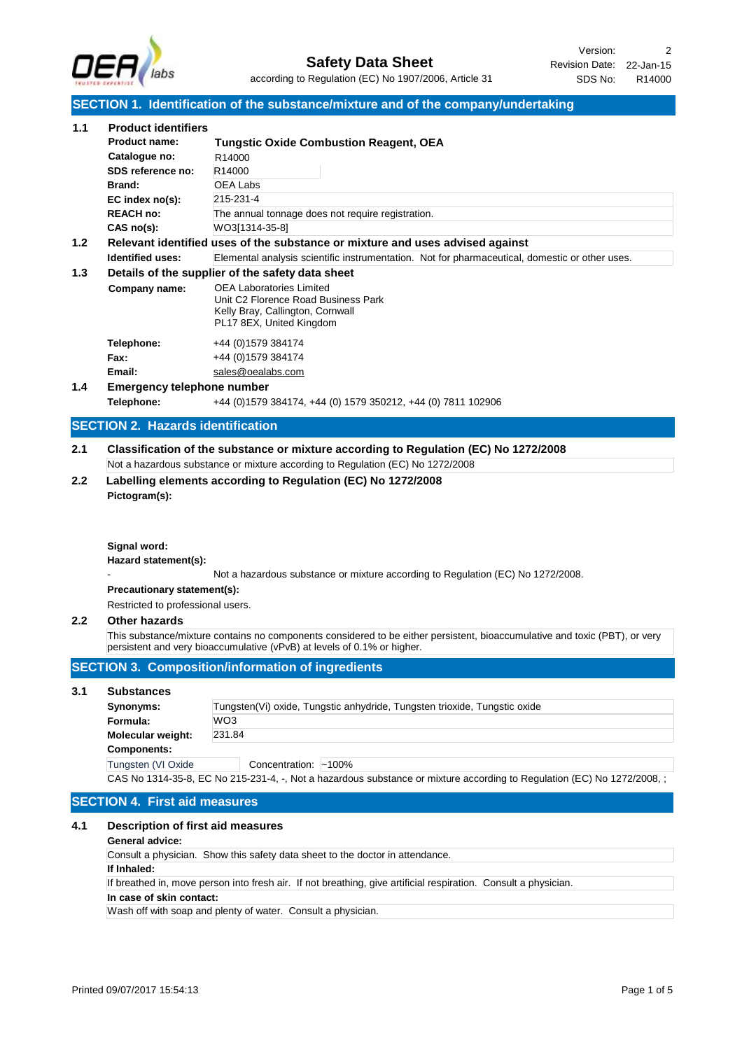

## **SECTION 1. Identification of the substance/mixture and of the company/undertaking**

|                   |                                                                                                                                                                                                                             | SECTION 1. Identification of the substance/mixture and of the company/undertaking                                                                                                                                                                                                                                                                                                                                                                                                                                                                                                                |
|-------------------|-----------------------------------------------------------------------------------------------------------------------------------------------------------------------------------------------------------------------------|--------------------------------------------------------------------------------------------------------------------------------------------------------------------------------------------------------------------------------------------------------------------------------------------------------------------------------------------------------------------------------------------------------------------------------------------------------------------------------------------------------------------------------------------------------------------------------------------------|
| 1.1<br>1.2<br>1.3 | <b>Product identifiers</b><br><b>Product name:</b><br>Catalogue no:<br>SDS reference no:<br>Brand:<br>EC index no(s):<br><b>REACH no:</b><br>$CAS$ no(s):<br><b>Identified uses:</b><br>Company name:<br>Telephone:<br>Fax: | <b>Tungstic Oxide Combustion Reagent, OEA</b><br>R14000<br>R14000<br>OEA Labs<br>215-231-4<br>The annual tonnage does not require registration.<br>WO3[1314-35-8]<br>Relevant identified uses of the substance or mixture and uses advised against<br>Elemental analysis scientific instrumentation. Not for pharmaceutical, domestic or other uses.<br>Details of the supplier of the safety data sheet<br><b>OEA Laboratories Limited</b><br>Unit C2 Florence Road Business Park<br>Kelly Bray, Callington, Cornwall<br>PL17 8EX, United Kingdom<br>+44 (0) 1579 384174<br>+44 (0) 1579 384174 |
|                   | Email:                                                                                                                                                                                                                      | sales@oealabs.com                                                                                                                                                                                                                                                                                                                                                                                                                                                                                                                                                                                |
| 1.4               | <b>Emergency telephone number</b>                                                                                                                                                                                           |                                                                                                                                                                                                                                                                                                                                                                                                                                                                                                                                                                                                  |
|                   | Telephone:                                                                                                                                                                                                                  | +44 (0) 1579 384174, +44 (0) 1579 350212, +44 (0) 7811 102906                                                                                                                                                                                                                                                                                                                                                                                                                                                                                                                                    |
|                   | <b>SECTION 2. Hazards identification</b>                                                                                                                                                                                    |                                                                                                                                                                                                                                                                                                                                                                                                                                                                                                                                                                                                  |
| 2.1               |                                                                                                                                                                                                                             | Classification of the substance or mixture according to Regulation (EC) No 1272/2008                                                                                                                                                                                                                                                                                                                                                                                                                                                                                                             |
|                   |                                                                                                                                                                                                                             | Not a hazardous substance or mixture according to Regulation (EC) No 1272/2008                                                                                                                                                                                                                                                                                                                                                                                                                                                                                                                   |
| 2.2               |                                                                                                                                                                                                                             | Labelling elements according to Regulation (EC) No 1272/2008                                                                                                                                                                                                                                                                                                                                                                                                                                                                                                                                     |
|                   | Pictogram(s):                                                                                                                                                                                                               |                                                                                                                                                                                                                                                                                                                                                                                                                                                                                                                                                                                                  |
|                   | Signal word:<br>Hazard statement(s):<br>Precautionary statement(s):<br>Restricted to professional users.                                                                                                                    | Not a hazardous substance or mixture according to Regulation (EC) No 1272/2008.                                                                                                                                                                                                                                                                                                                                                                                                                                                                                                                  |
| $2.2\phantom{0}$  | <b>Other hazards</b>                                                                                                                                                                                                        |                                                                                                                                                                                                                                                                                                                                                                                                                                                                                                                                                                                                  |
|                   |                                                                                                                                                                                                                             | This substance/mixture contains no components considered to be either persistent, bioaccumulative and toxic (PBT), or very                                                                                                                                                                                                                                                                                                                                                                                                                                                                       |
|                   |                                                                                                                                                                                                                             | persistent and very bioaccumulative (vPvB) at levels of 0.1% or higher.                                                                                                                                                                                                                                                                                                                                                                                                                                                                                                                          |
|                   |                                                                                                                                                                                                                             | <b>SECTION 3. Composition/information of ingredients</b>                                                                                                                                                                                                                                                                                                                                                                                                                                                                                                                                         |
| 3.1               | <b>Substances</b>                                                                                                                                                                                                           |                                                                                                                                                                                                                                                                                                                                                                                                                                                                                                                                                                                                  |
|                   | Synonyms:                                                                                                                                                                                                                   | Tungsten(Vi) oxide, Tungstic anhydride, Tungsten trioxide, Tungstic oxide                                                                                                                                                                                                                                                                                                                                                                                                                                                                                                                        |
|                   | Formula:                                                                                                                                                                                                                    | WO3                                                                                                                                                                                                                                                                                                                                                                                                                                                                                                                                                                                              |
|                   | Molecular weight:                                                                                                                                                                                                           | 231.84                                                                                                                                                                                                                                                                                                                                                                                                                                                                                                                                                                                           |
|                   | <b>Components:</b><br>Tungsten (VI Oxide                                                                                                                                                                                    | Concentration: ~100%                                                                                                                                                                                                                                                                                                                                                                                                                                                                                                                                                                             |
|                   |                                                                                                                                                                                                                             | CAS No 1314-35-8, EC No 215-231-4, -, Not a hazardous substance or mixture according to Regulation (EC) No 1272/2008, ;                                                                                                                                                                                                                                                                                                                                                                                                                                                                          |
|                   |                                                                                                                                                                                                                             |                                                                                                                                                                                                                                                                                                                                                                                                                                                                                                                                                                                                  |
|                   | <b>SECTION 4. First aid measures</b>                                                                                                                                                                                        |                                                                                                                                                                                                                                                                                                                                                                                                                                                                                                                                                                                                  |
| 4.1               | Description of first aid measures                                                                                                                                                                                           |                                                                                                                                                                                                                                                                                                                                                                                                                                                                                                                                                                                                  |
|                   | General advice:                                                                                                                                                                                                             |                                                                                                                                                                                                                                                                                                                                                                                                                                                                                                                                                                                                  |
|                   |                                                                                                                                                                                                                             | Consult a physician. Show this safety data sheet to the doctor in attendance.                                                                                                                                                                                                                                                                                                                                                                                                                                                                                                                    |
|                   | If Inhaled:                                                                                                                                                                                                                 | If breathed in, move person into fresh air. If not breathing, give artificial respiration. Consult a physician.                                                                                                                                                                                                                                                                                                                                                                                                                                                                                  |
|                   | In case of skin contact:                                                                                                                                                                                                    |                                                                                                                                                                                                                                                                                                                                                                                                                                                                                                                                                                                                  |
|                   |                                                                                                                                                                                                                             | Wash off with soap and plenty of water. Consult a physician.                                                                                                                                                                                                                                                                                                                                                                                                                                                                                                                                     |
|                   |                                                                                                                                                                                                                             |                                                                                                                                                                                                                                                                                                                                                                                                                                                                                                                                                                                                  |
|                   |                                                                                                                                                                                                                             |                                                                                                                                                                                                                                                                                                                                                                                                                                                                                                                                                                                                  |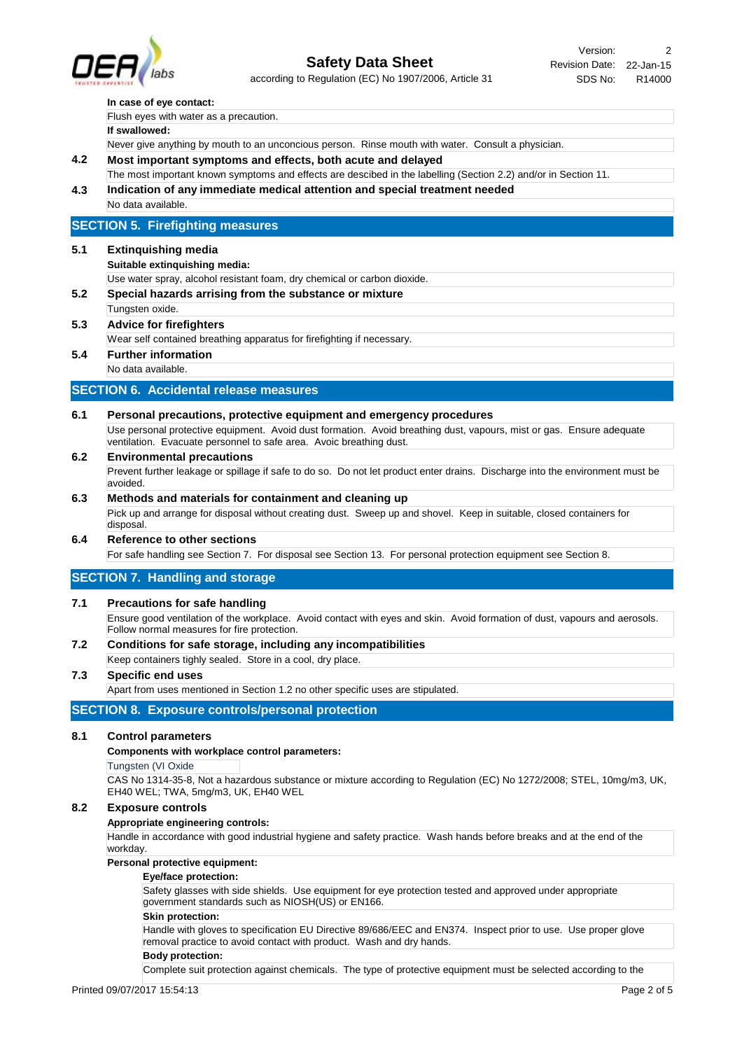

according to Regulation (EC) No 1907/2006, Article 31

### **In case of eye contact:**

Flush eyes with water as a precaution.

#### **If swallowed:**

Never give anything by mouth to an unconcious person. Rinse mouth with water. Consult a physician.

- **4.2 Most important symptoms and effects, both acute and delayed**
- **4.3 Indication of any immediate medical attention and special treatment needed** The most important known symptoms and effects are descibed in the labelling (Section 2.2) and/or in Section 11.
	- No data available.

# **SECTION 5. Firefighting measures**

### **5.1 Extinquishing media**

**Suitable extinquishing media:**

Use water spray, alcohol resistant foam, dry chemical or carbon dioxide.

- **5.2 Special hazards arrising from the substance or mixture**
	- Tungsten oxide.

# **5.3 Advice for firefighters**

Wear self contained breathing apparatus for firefighting if necessary.

# **5.4 Further information**

No data available.

## **SECTION 6. Accidental release measures**

### **6.1 Personal precautions, protective equipment and emergency procedures**

Use personal protective equipment. Avoid dust formation. Avoid breathing dust, vapours, mist or gas. Ensure adequate ventilation. Evacuate personnel to safe area. Avoic breathing dust.

# **6.2 Environmental precautions**

Prevent further leakage or spillage if safe to do so. Do not let product enter drains. Discharge into the environment must be avoided.

# **6.3 Methods and materials for containment and cleaning up**

Pick up and arrange for disposal without creating dust. Sweep up and shovel. Keep in suitable, closed containers for disposal.

# **6.4 Reference to other sections**

For safe handling see Section 7. For disposal see Section 13. For personal protection equipment see Section 8.

## **SECTION 7. Handling and storage**

### **7.1 Precautions for safe handling**

Ensure good ventilation of the workplace. Avoid contact with eyes and skin. Avoid formation of dust, vapours and aerosols. Follow normal measures for fire protection.

**7.2 Conditions for safe storage, including any incompatibilities**

Keep containers tighly sealed. Store in a cool, dry place.

## **7.3 Specific end uses**

Apart from uses mentioned in Section 1.2 no other specific uses are stipulated.

# **SECTION 8. Exposure controls/personal protection**

### **8.1 Control parameters**

#### **Components with workplace control parameters:**

Tungsten (VI Oxide

CAS No 1314-35-8, Not a hazardous substance or mixture according to Regulation (EC) No 1272/2008; STEL, 10mg/m3, UK, EH40 WEL; TWA, 5mg/m3, UK, EH40 WEL

#### **8.2 Exposure controls**

#### **Appropriate engineering controls:**

Handle in accordance with good industrial hygiene and safety practice. Wash hands before breaks and at the end of the workday.

## **Personal protective equipment:**

#### **Eye/face protection:**

Safety glasses with side shields. Use equipment for eye protection tested and approved under appropriate government standards such as NIOSH(US) or EN166.

#### **Skin protection:**

Handle with gloves to specification EU Directive 89/686/EEC and EN374. Inspect prior to use. Use proper glove removal practice to avoid contact with product. Wash and dry hands.

#### **Body protection:**

Complete suit protection against chemicals. The type of protective equipment must be selected according to the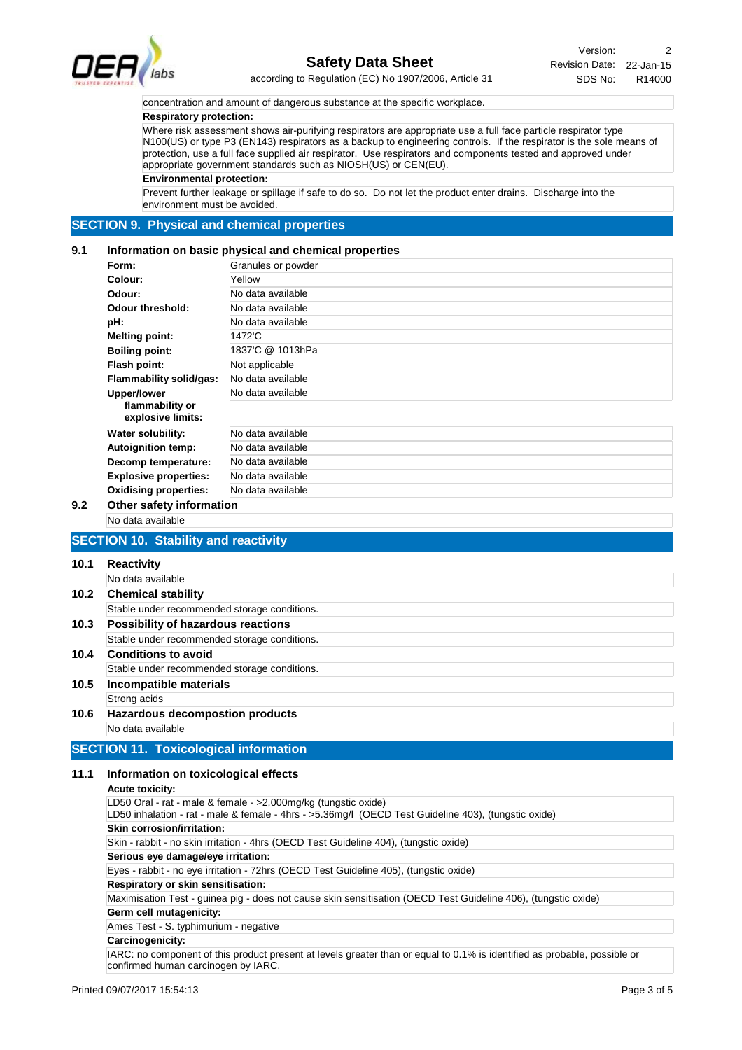

Revision Date: 22-Jan-15 Version: 2 SDS No: R14000

according to Regulation (EC) No 1907/2006, Article 31

concentration and amount of dangerous substance at the specific workplace.

## **Respiratory protection:**

Where risk assessment shows air-purifying respirators are appropriate use a full face particle respirator type N100(US) or type P3 (EN143) respirators as a backup to engineering controls. If the respirator is the sole means of protection, use a full face supplied air respirator. Use respirators and components tested and approved under appropriate government standards such as NIOSH(US) or CEN(EU).

**Environmental protection:**

Prevent further leakage or spillage if safe to do so. Do not let the product enter drains. Discharge into the environment must be avoided.

# **SECTION 9. Physical and chemical properties**

### **9.1 Information on basic physical and chemical properties**

| Form:                                | Granules or powder |
|--------------------------------------|--------------------|
| Colour:                              | Yellow             |
| Odour:                               | No data available  |
| Odour threshold:                     | No data available  |
| pH:                                  | No data available  |
| <b>Melting point:</b>                | 1472'C             |
| <b>Boiling point:</b>                | 1837'C @ 1013hPa   |
| Flash point:                         | Not applicable     |
| Flammability solid/gas:              | No data available  |
| <b>Upper/lower</b>                   | No data available  |
| flammability or<br>explosive limits: |                    |
| Water solubility:                    | No data available  |
| <b>Autoignition temp:</b>            | No data available  |
| Decomp temperature:                  | No data available  |
| <b>Explosive properties:</b>         | No data available  |
| <b>Oxidising properties:</b>         | No data available  |

## No data available **9.2 Other safety information**

# **SECTION 10. Stability and reactivity**

| 10.1 | <b>Reactivity</b>                            |  |  |  |
|------|----------------------------------------------|--|--|--|
|      | No data available                            |  |  |  |
| 10.2 | <b>Chemical stability</b>                    |  |  |  |
|      | Stable under recommended storage conditions. |  |  |  |
| 10.3 | Possibility of hazardous reactions           |  |  |  |
|      | Stable under recommended storage conditions. |  |  |  |
| 10.4 | <b>Conditions to avoid</b>                   |  |  |  |
|      | Stable under recommended storage conditions. |  |  |  |
| 10.5 | Incompatible materials                       |  |  |  |
|      | Strong acids                                 |  |  |  |
| 10.6 | <b>Hazardous decompostion products</b>       |  |  |  |
|      | No data available                            |  |  |  |

## **11.1 Information on toxicological effects**

# **Acute toxicity:**

LD50 Oral - rat - male & female - >2,000mg/kg (tungstic oxide) LD50 inhalation - rat - male & female - 4hrs - >5.36mg/l (OECD Test Guideline 403), (tungstic oxide) Skin - rabbit - no skin irritation - 4hrs (OECD Test Guideline 404), (tungstic oxide) **Skin corrosion/irritation:** Eyes - rabbit - no eye irritation - 72hrs (OECD Test Guideline 405), (tungstic oxide) **Serious eye damage/eye irritation:** Maximisation Test - guinea pig - does not cause skin sensitisation (OECD Test Guideline 406), (tungstic oxide) **Respiratory or skin sensitisation:** Ames Test - S. typhimurium - negative **Germ cell mutagenicity:** IARC: no component of this product present at levels greater than or equal to 0.1% is identified as probable, possible or confirmed human carcinogen by IARC. **Carcinogenicity:**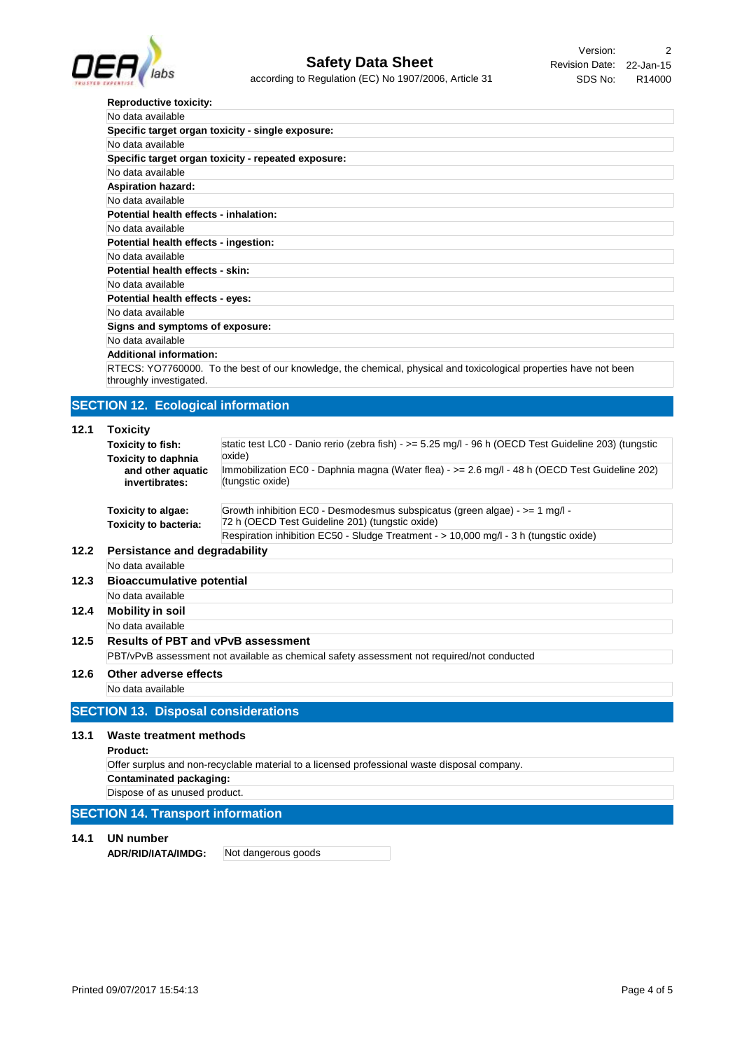

Revision Date: 22-Jan-15 Version: 2 SDS No: R14000

|      | <b>LENERATION SERVICE</b>                           |                                                                                                                    |  |  |
|------|-----------------------------------------------------|--------------------------------------------------------------------------------------------------------------------|--|--|
|      | <b>Reproductive toxicity:</b>                       |                                                                                                                    |  |  |
|      | No data available                                   |                                                                                                                    |  |  |
|      |                                                     | Specific target organ toxicity - single exposure:                                                                  |  |  |
|      | No data available                                   |                                                                                                                    |  |  |
|      | Specific target organ toxicity - repeated exposure: |                                                                                                                    |  |  |
|      | No data available                                   |                                                                                                                    |  |  |
|      | <b>Aspiration hazard:</b>                           |                                                                                                                    |  |  |
|      | No data available                                   |                                                                                                                    |  |  |
|      | Potential health effects - inhalation:              |                                                                                                                    |  |  |
|      | No data available                                   |                                                                                                                    |  |  |
|      | Potential health effects - ingestion:               |                                                                                                                    |  |  |
|      | No data available                                   |                                                                                                                    |  |  |
|      | Potential health effects - skin:                    |                                                                                                                    |  |  |
|      | No data available                                   |                                                                                                                    |  |  |
|      | Potential health effects - eyes:                    |                                                                                                                    |  |  |
|      | No data available                                   |                                                                                                                    |  |  |
|      | Signs and symptoms of exposure:                     |                                                                                                                    |  |  |
|      | No data available                                   |                                                                                                                    |  |  |
|      | <b>Additional information:</b>                      |                                                                                                                    |  |  |
|      |                                                     | RTECS: YO7760000. To the best of our knowledge, the chemical, physical and toxicological properties have not been  |  |  |
|      | throughly investigated.                             |                                                                                                                    |  |  |
|      |                                                     |                                                                                                                    |  |  |
|      | <b>SECTION 12. Ecological information</b>           |                                                                                                                    |  |  |
|      |                                                     |                                                                                                                    |  |  |
| 12.1 | <b>Toxicity</b>                                     |                                                                                                                    |  |  |
|      | Toxicity to fish:                                   | static test LC0 - Danio rerio (zebra fish) - $>= 5.25$ mg/l - 96 h (OECD Test Guideline 203) (tungstic             |  |  |
|      | <b>Toxicity to daphnia</b>                          | oxide)                                                                                                             |  |  |
|      | and other aquatic<br>invertibrates:                 | Immobilization EC0 - Daphnia magna (Water flea) - >= 2.6 mg/l - 48 h (OECD Test Guideline 202)<br>(tungstic oxide) |  |  |
|      |                                                     |                                                                                                                    |  |  |
|      | Toxicity to algae:                                  | Growth inhibition EC0 - Desmodesmus subspicatus (green algae) - $>= 1$ mg/l -                                      |  |  |
|      | <b>Toxicity to bacteria:</b>                        | 72 h (OECD Test Guideline 201) (tungstic oxide)                                                                    |  |  |
|      |                                                     | Respiration inhibition EC50 - Sludge Treatment - > 10,000 mg/l - 3 h (tungstic oxide)                              |  |  |
| 12.2 | Persistance and degradability                       |                                                                                                                    |  |  |
|      | No data available                                   |                                                                                                                    |  |  |
|      |                                                     |                                                                                                                    |  |  |
| 12.3 | <b>Bioaccumulative potential</b>                    |                                                                                                                    |  |  |
|      | No data available                                   |                                                                                                                    |  |  |
| 12.4 | <b>Mobility in soil</b>                             |                                                                                                                    |  |  |
|      | No data available                                   |                                                                                                                    |  |  |
| 12.5 | Results of PBT and vPvB assessment                  |                                                                                                                    |  |  |
|      |                                                     | PBT/vPvB assessment not available as chemical safety assessment not required/not conducted                         |  |  |
| 12.6 | Other adverse effects                               |                                                                                                                    |  |  |
|      | No data available                                   |                                                                                                                    |  |  |
|      |                                                     |                                                                                                                    |  |  |
|      | <b>SECTION 13. Disposal considerations</b>          |                                                                                                                    |  |  |
|      |                                                     |                                                                                                                    |  |  |
| 13.1 | <b>Waste treatment methods</b>                      |                                                                                                                    |  |  |
|      | Product:                                            |                                                                                                                    |  |  |
|      |                                                     | Offer surplus and non-recyclable material to a licensed professional waste disposal company.                       |  |  |
|      | <b>Contaminated packaging:</b>                      |                                                                                                                    |  |  |
|      | Dispose of as unused product.                       |                                                                                                                    |  |  |
|      | <b>SECTION 14. Transport information</b>            |                                                                                                                    |  |  |
|      |                                                     |                                                                                                                    |  |  |
| 14.1 | <b>UN number</b>                                    |                                                                                                                    |  |  |
|      | ADR/RID/IATA/IMDG:                                  | Not dangerous goods                                                                                                |  |  |